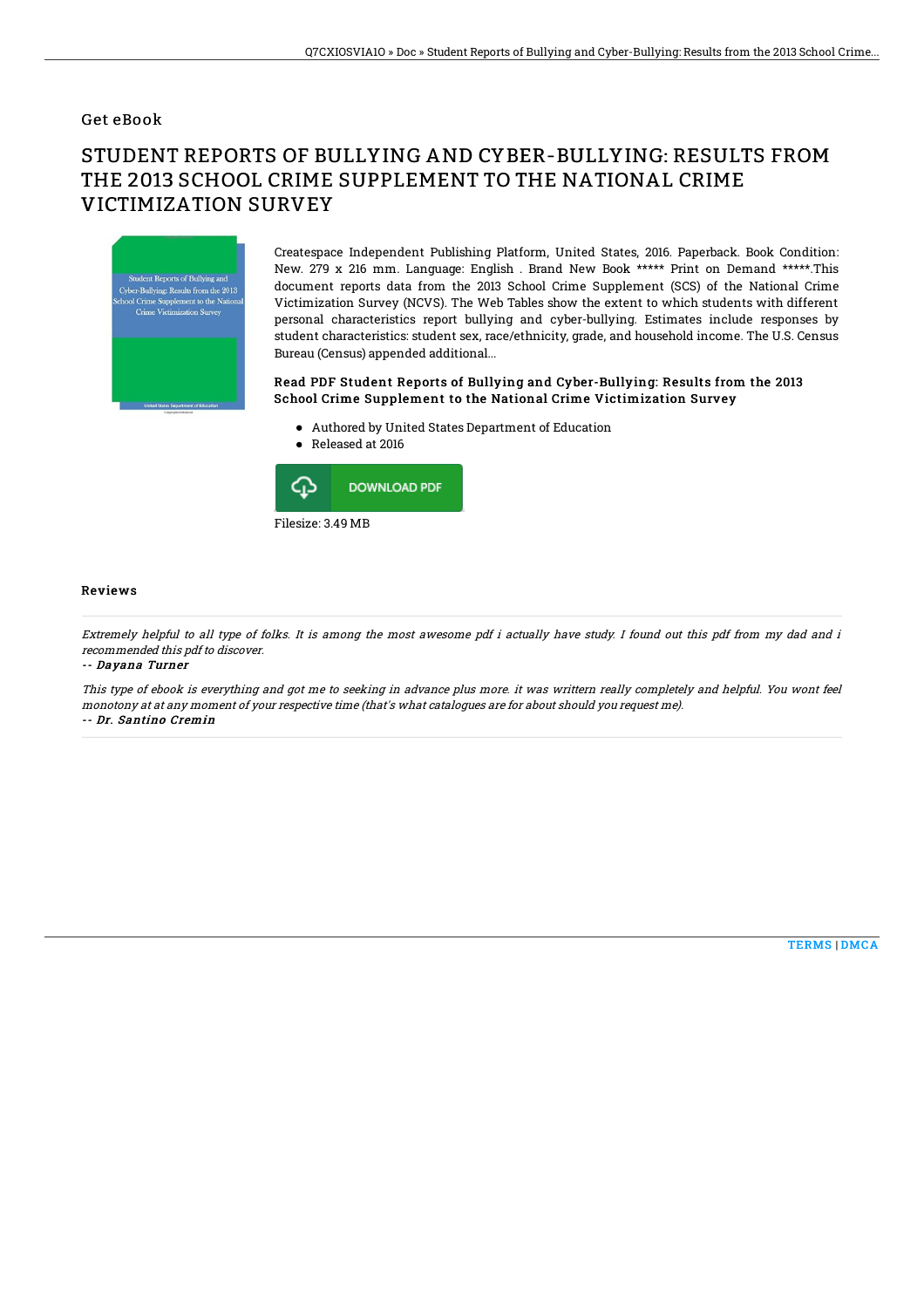### Get eBook

# STUDENT REPORTS OF BULLYING AND CYBER-BULLYING: RESULTS FROM THE 2013 SCHOOL CRIME SUPPLEMENT TO THE NATIONAL CRIME VICTIMIZATION SURVEY



Createspace Independent Publishing Platform, United States, 2016. Paperback. Book Condition: New. 279 x 216 mm. Language: English . Brand New Book \*\*\*\*\* Print on Demand \*\*\*\*\*.This document reports data from the 2013 School Crime Supplement (SCS) of the National Crime Victimization Survey (NCVS). The Web Tables show the extent to which students with different personal characteristics report bullying and cyber-bullying. Estimates include responses by student characteristics: student sex, race/ethnicity, grade, and household income. The U.S. Census Bureau (Census) appended additional...

#### Read PDF Student Reports of Bullying and Cyber-Bullying: Results from the 2013 School Crime Supplement to the National Crime Victimization Survey

- Authored by United States Department of Education
- Released at 2016



#### Reviews

Extremely helpful to all type of folks. It is among the most awesome pdf i actually have study. I found out this pdf from my dad and i recommended this pdf to discover.

-- Dayana Turner

This type of ebook is everything and got me to seeking in advance plus more. it was writtern really completely and helpful. You wont feel monotony at at any moment of your respective time (that's what catalogues are for about should you request me). -- Dr. Santino Cremin